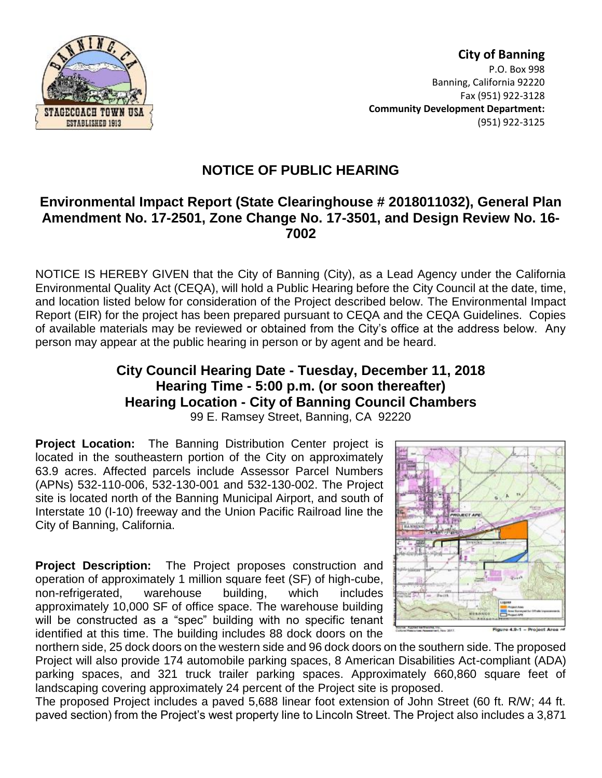

**City of Banning** P.O. Box 998 Banning, California 92220 Fax (951) 922-3128 **Community Development Department:** (951) 922-3125

## **NOTICE OF PUBLIC HEARING**

## **Environmental Impact Report (State Clearinghouse # 2018011032), General Plan Amendment No. 17-2501, Zone Change No. 17-3501, and Design Review No. 16- 7002**

NOTICE IS HEREBY GIVEN that the City of Banning (City), as a Lead Agency under the California Environmental Quality Act (CEQA), will hold a Public Hearing before the City Council at the date, time, and location listed below for consideration of the Project described below. The Environmental Impact Report (EIR) for the project has been prepared pursuant to CEQA and the CEQA Guidelines. Copies of available materials may be reviewed or obtained from the City's office at the address below. Any person may appear at the public hearing in person or by agent and be heard.

## **City Council Hearing Date - Tuesday, December 11, 2018 Hearing Time - 5:00 p.m. (or soon thereafter) Hearing Location - City of Banning Council Chambers**

99 E. Ramsey Street, Banning, CA 92220

**Project Location:** The Banning Distribution Center project is located in the southeastern portion of the City on approximately 63.9 acres. Affected parcels include Assessor Parcel Numbers (APNs) 532-110-006, 532-130-001 and 532-130-002. The Project site is located north of the Banning Municipal Airport, and south of Interstate 10 (I-10) freeway and the Union Pacific Railroad line the City of Banning, California.

**Project Description:**The Project proposes construction and operation of approximately 1 million square feet (SF) of high-cube, non-refrigerated, warehouse building, which includes approximately 10,000 SF of office space. The warehouse building will be constructed as a "spec" building with no specific tenant identified at this time. The building includes 88 dock doors on the



northern side, 25 dock doors on the western side and 96 dock doors on the southern side. The proposed Project will also provide 174 automobile parking spaces, 8 American Disabilities Act-compliant (ADA) parking spaces, and 321 truck trailer parking spaces. Approximately 660,860 square feet of landscaping covering approximately 24 percent of the Project site is proposed.

The proposed Project includes a paved 5,688 linear foot extension of John Street (60 ft. R/W; 44 ft. paved section) from the Project's west property line to Lincoln Street. The Project also includes a 3,871